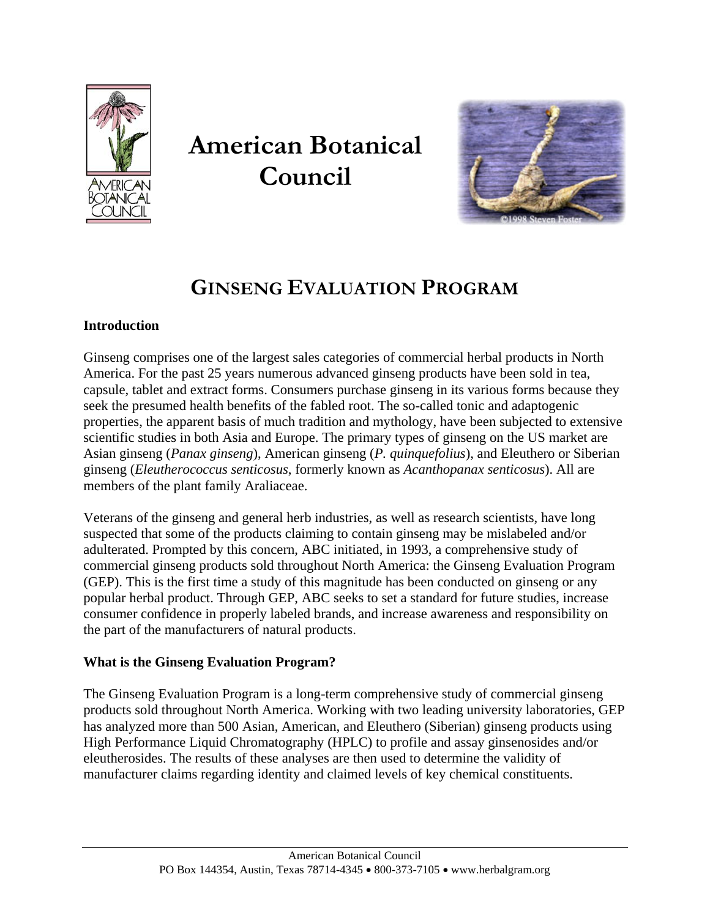

# **American Botanical Council**



# **GINSENG EVALUATION PROGRAM**

# **Introduction**

Ginseng comprises one of the largest sales categories of commercial herbal products in North America. For the past 25 years numerous advanced ginseng products have been sold in tea, capsule, tablet and extract forms. Consumers purchase ginseng in its various forms because they seek the presumed health benefits of the fabled root. The so-called tonic and adaptogenic properties, the apparent basis of much tradition and mythology, have been subjected to extensive scientific studies in both Asia and Europe. The primary types of ginseng on the US market are Asian ginseng (*Panax ginseng*), American ginseng (*P. quinquefolius*), and Eleuthero or Siberian ginseng (*Eleutherococcus senticosus*, formerly known as *Acanthopanax senticosus*). All are members of the plant family Araliaceae.

Veterans of the ginseng and general herb industries, as well as research scientists, have long suspected that some of the products claiming to contain ginseng may be mislabeled and/or adulterated. Prompted by this concern, ABC initiated, in 1993, a comprehensive study of commercial ginseng products sold throughout North America: the Ginseng Evaluation Program (GEP). This is the first time a study of this magnitude has been conducted on ginseng or any popular herbal product. Through GEP, ABC seeks to set a standard for future studies, increase consumer confidence in properly labeled brands, and increase awareness and responsibility on the part of the manufacturers of natural products.

# **What is the Ginseng Evaluation Program?**

The Ginseng Evaluation Program is a long-term comprehensive study of commercial ginseng products sold throughout North America. Working with two leading university laboratories, GEP has analyzed more than 500 Asian, American, and Eleuthero (Siberian) ginseng products using High Performance Liquid Chromatography (HPLC) to profile and assay ginsenosides and/or eleutherosides. The results of these analyses are then used to determine the validity of manufacturer claims regarding identity and claimed levels of key chemical constituents.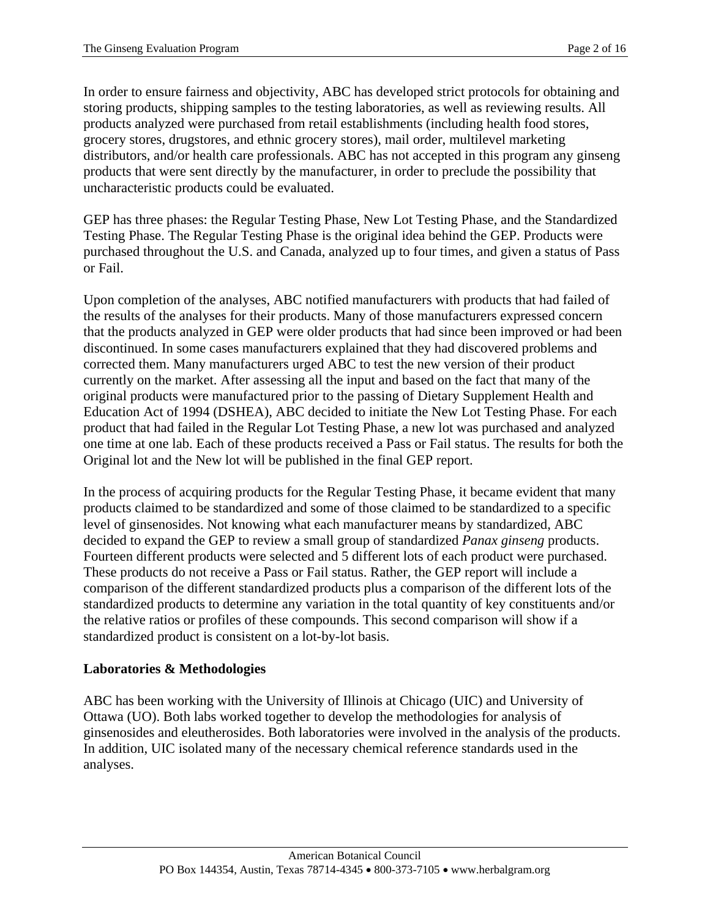In order to ensure fairness and objectivity, ABC has developed strict protocols for obtaining and storing products, shipping samples to the testing laboratories, as well as reviewing results. All products analyzed were purchased from retail establishments (including health food stores, grocery stores, drugstores, and ethnic grocery stores), mail order, multilevel marketing distributors, and/or health care professionals. ABC has not accepted in this program any ginseng products that were sent directly by the manufacturer, in order to preclude the possibility that uncharacteristic products could be evaluated.

GEP has three phases: the Regular Testing Phase, New Lot Testing Phase, and the Standardized Testing Phase. The Regular Testing Phase is the original idea behind the GEP. Products were purchased throughout the U.S. and Canada, analyzed up to four times, and given a status of Pass or Fail.

Upon completion of the analyses, ABC notified manufacturers with products that had failed of the results of the analyses for their products. Many of those manufacturers expressed concern that the products analyzed in GEP were older products that had since been improved or had been discontinued. In some cases manufacturers explained that they had discovered problems and corrected them. Many manufacturers urged ABC to test the new version of their product currently on the market. After assessing all the input and based on the fact that many of the original products were manufactured prior to the passing of Dietary Supplement Health and Education Act of 1994 (DSHEA), ABC decided to initiate the New Lot Testing Phase. For each product that had failed in the Regular Lot Testing Phase, a new lot was purchased and analyzed one time at one lab. Each of these products received a Pass or Fail status. The results for both the Original lot and the New lot will be published in the final GEP report.

In the process of acquiring products for the Regular Testing Phase, it became evident that many products claimed to be standardized and some of those claimed to be standardized to a specific level of ginsenosides. Not knowing what each manufacturer means by standardized, ABC decided to expand the GEP to review a small group of standardized *Panax ginseng* products. Fourteen different products were selected and 5 different lots of each product were purchased. These products do not receive a Pass or Fail status. Rather, the GEP report will include a comparison of the different standardized products plus a comparison of the different lots of the standardized products to determine any variation in the total quantity of key constituents and/or the relative ratios or profiles of these compounds. This second comparison will show if a standardized product is consistent on a lot-by-lot basis.

#### **Laboratories & Methodologies**

ABC has been working with the University of Illinois at Chicago (UIC) and University of Ottawa (UO). Both labs worked together to develop the methodologies for analysis of ginsenosides and eleutherosides. Both laboratories were involved in the analysis of the products. In addition, UIC isolated many of the necessary chemical reference standards used in the analyses.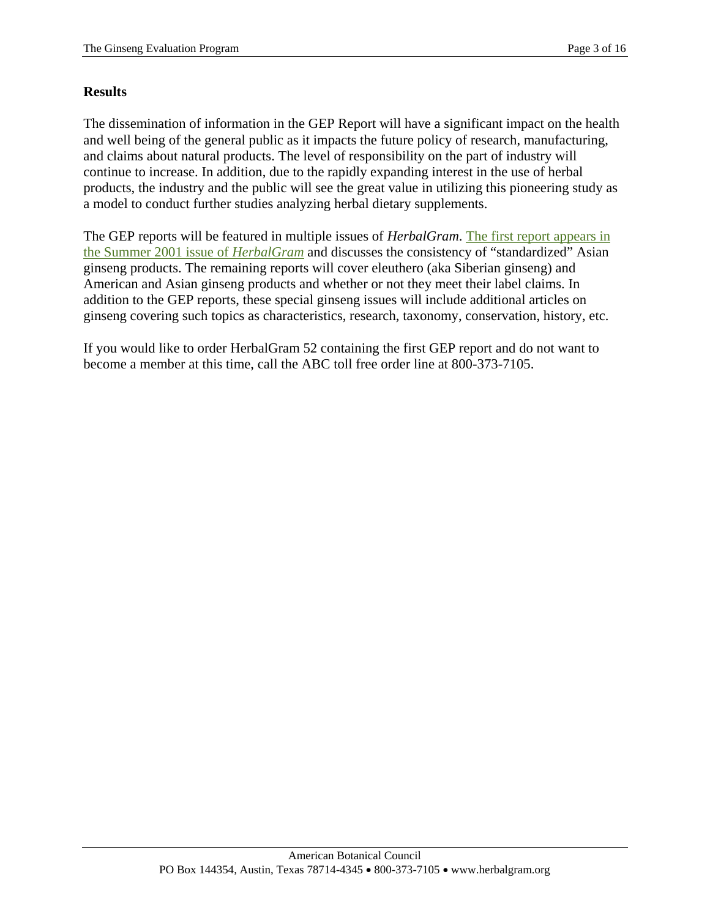#### **Results**

The dissemination of information in the GEP Report will have a significant impact on the health and well being of the general public as it impacts the future policy of research, manufacturing, and claims about natural products. The level of responsibility on the part of industry will continue to increase. In addition, due to the rapidly expanding interest in the use of herbal products, the industry and the public will see the great value in utilizing this pioneering study as a model to conduct further studies analyzing herbal dietary supplements.

The GEP reports will be featured in multiple issues of *HerbalGram*. [The first report appears in](http://www.herbalgram.org/herbalgram/issueindex.asp?i=52)  [the Summer 2001 issue of](http://www.herbalgram.org/herbalgram/issueindex.asp?i=52) *HerbalGram* and discusses the consistency of "standardized" Asian ginseng products. The remaining reports will cover eleuthero (aka Siberian ginseng) and American and Asian ginseng products and whether or not they meet their label claims. In addition to the GEP reports, these special ginseng issues will include additional articles on ginseng covering such topics as characteristics, research, taxonomy, conservation, history, etc.

If you would like to order HerbalGram 52 containing the first GEP report and do not want to become a member at this time, call the ABC toll free order line at 800-373-7105.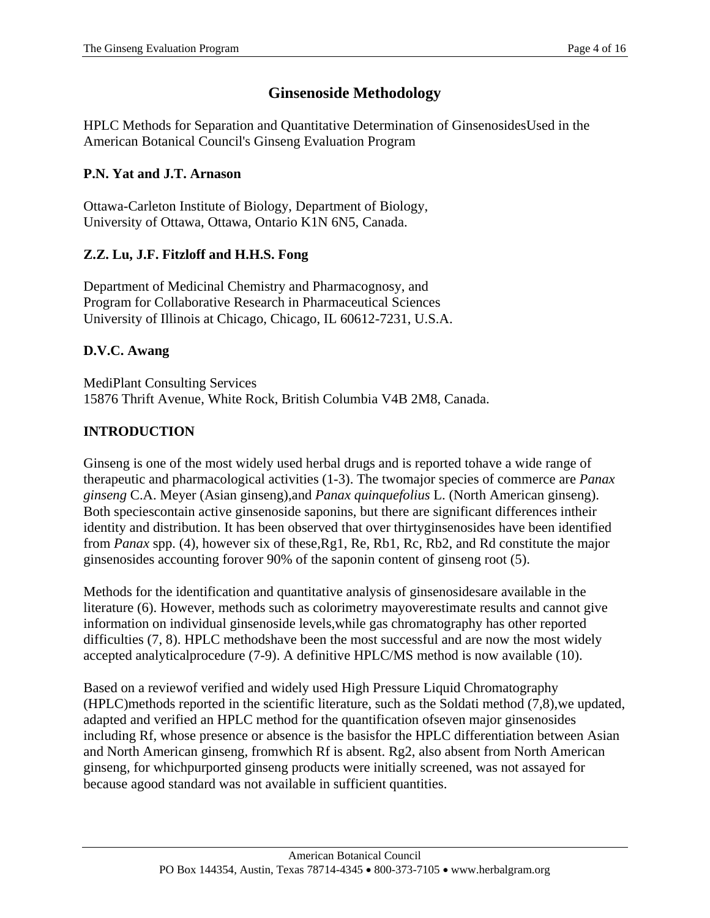# **Ginsenoside Methodology**

HPLC Methods for Separation and Quantitative Determination of GinsenosidesUsed in the American Botanical Council's Ginseng Evaluation Program

# **P.N. Yat and J.T. Arnason**

Ottawa-Carleton Institute of Biology, Department of Biology, University of Ottawa, Ottawa, Ontario K1N 6N5, Canada.

# **Z.Z. Lu, J.F. Fitzloff and H.H.S. Fong**

Department of Medicinal Chemistry and Pharmacognosy, and Program for Collaborative Research in Pharmaceutical Sciences University of Illinois at Chicago, Chicago, IL 60612-7231, U.S.A.

# **D.V.C. Awang**

MediPlant Consulting Services 15876 Thrift Avenue, White Rock, British Columbia V4B 2M8, Canada.

# **INTRODUCTION**

Ginseng is one of the most widely used herbal drugs and is reported tohave a wide range of therapeutic and pharmacological activities (1-3). The twomajor species of commerce are *Panax ginseng* C.A. Meyer (Asian ginseng),and *Panax quinquefolius* L. (North American ginseng). Both speciescontain active ginsenoside saponins, but there are significant differences intheir identity and distribution. It has been observed that over thirtyginsenosides have been identified from *Panax* spp. (4), however six of these,Rg1, Re, Rb1, Rc, Rb2, and Rd constitute the major ginsenosides accounting forover 90% of the saponin content of ginseng root (5).

Methods for the identification and quantitative analysis of ginsenosidesare available in the literature (6). However, methods such as colorimetry mayoverestimate results and cannot give information on individual ginsenoside levels,while gas chromatography has other reported difficulties (7, 8). HPLC methodshave been the most successful and are now the most widely accepted analyticalprocedure (7-9). A definitive HPLC/MS method is now available (10).

Based on a reviewof verified and widely used High Pressure Liquid Chromatography (HPLC)methods reported in the scientific literature, such as the Soldati method (7,8),we updated, adapted and verified an HPLC method for the quantification ofseven major ginsenosides including Rf, whose presence or absence is the basisfor the HPLC differentiation between Asian and North American ginseng, fromwhich Rf is absent. Rg2, also absent from North American ginseng, for whichpurported ginseng products were initially screened, was not assayed for because agood standard was not available in sufficient quantities.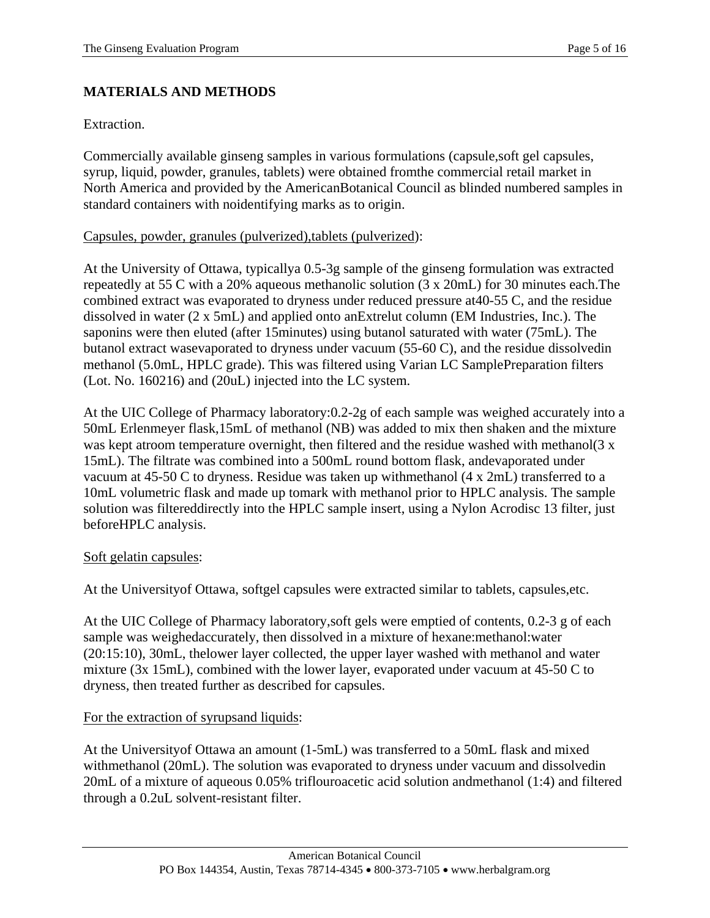# **MATERIALS AND METHODS**

Extraction.

Commercially available ginseng samples in various formulations (capsule,soft gel capsules, syrup, liquid, powder, granules, tablets) were obtained fromthe commercial retail market in North America and provided by the AmericanBotanical Council as blinded numbered samples in standard containers with noidentifying marks as to origin.

#### Capsules, powder, granules (pulverized),tablets (pulverized):

At the University of Ottawa, typicallya 0.5-3g sample of the ginseng formulation was extracted repeatedly at 55 C with a 20% aqueous methanolic solution (3 x 20mL) for 30 minutes each.The combined extract was evaporated to dryness under reduced pressure at40-55 C, and the residue dissolved in water (2 x 5mL) and applied onto anExtrelut column (EM Industries, Inc.). The saponins were then eluted (after 15minutes) using butanol saturated with water (75mL). The butanol extract wasevaporated to dryness under vacuum (55-60 C), and the residue dissolvedin methanol (5.0mL, HPLC grade). This was filtered using Varian LC SamplePreparation filters (Lot. No. 160216) and (20uL) injected into the LC system.

At the UIC College of Pharmacy laboratory:0.2-2g of each sample was weighed accurately into a 50mL Erlenmeyer flask,15mL of methanol (NB) was added to mix then shaken and the mixture was kept atroom temperature overnight, then filtered and the residue washed with methanol(3 x 15mL). The filtrate was combined into a 500mL round bottom flask, andevaporated under vacuum at 45-50 C to dryness. Residue was taken up withmethanol (4 x 2mL) transferred to a 10mL volumetric flask and made up tomark with methanol prior to HPLC analysis. The sample solution was filtereddirectly into the HPLC sample insert, using a Nylon Acrodisc 13 filter, just beforeHPLC analysis.

#### Soft gelatin capsules:

At the Universityof Ottawa, softgel capsules were extracted similar to tablets, capsules,etc.

At the UIC College of Pharmacy laboratory,soft gels were emptied of contents, 0.2-3 g of each sample was weighedaccurately, then dissolved in a mixture of hexane:methanol:water (20:15:10), 30mL, thelower layer collected, the upper layer washed with methanol and water mixture (3x 15mL), combined with the lower layer, evaporated under vacuum at 45-50 C to dryness, then treated further as described for capsules.

#### For the extraction of syrupsand liquids:

At the Universityof Ottawa an amount (1-5mL) was transferred to a 50mL flask and mixed withmethanol (20mL). The solution was evaporated to dryness under vacuum and dissolvedin 20mL of a mixture of aqueous 0.05% triflouroacetic acid solution andmethanol (1:4) and filtered through a 0.2uL solvent-resistant filter.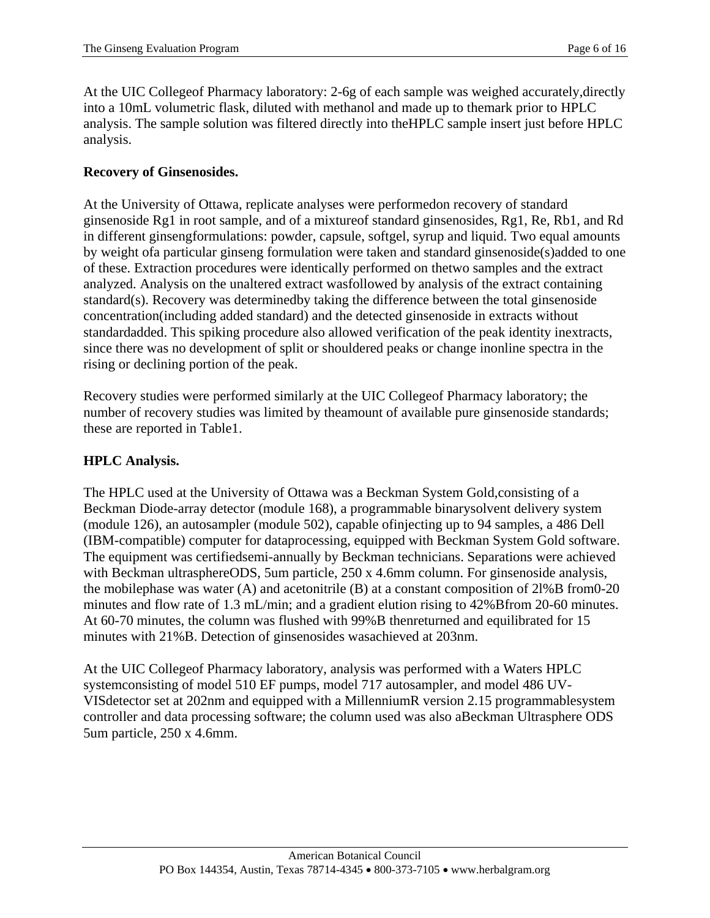At the UIC Collegeof Pharmacy laboratory: 2-6g of each sample was weighed accurately,directly into a 10mL volumetric flask, diluted with methanol and made up to themark prior to HPLC analysis. The sample solution was filtered directly into theHPLC sample insert just before HPLC analysis.

#### **Recovery of Ginsenosides.**

At the University of Ottawa, replicate analyses were performedon recovery of standard ginsenoside Rg1 in root sample, and of a mixtureof standard ginsenosides, Rg1, Re, Rb1, and Rd in different ginsengformulations: powder, capsule, softgel, syrup and liquid. Two equal amounts by weight ofa particular ginseng formulation were taken and standard ginsenoside(s)added to one of these. Extraction procedures were identically performed on thetwo samples and the extract analyzed. Analysis on the unaltered extract wasfollowed by analysis of the extract containing standard(s). Recovery was determinedby taking the difference between the total ginsenoside concentration(including added standard) and the detected ginsenoside in extracts without standardadded. This spiking procedure also allowed verification of the peak identity inextracts, since there was no development of split or shouldered peaks or change inonline spectra in the rising or declining portion of the peak.

Recovery studies were performed similarly at the UIC Collegeof Pharmacy laboratory; the number of recovery studies was limited by theamount of available pure ginsenoside standards; these are reported in Table1.

#### **HPLC Analysis.**

The HPLC used at the University of Ottawa was a Beckman System Gold,consisting of a Beckman Diode-array detector (module 168), a programmable binarysolvent delivery system (module 126), an autosampler (module 502), capable ofinjecting up to 94 samples, a 486 Dell (IBM-compatible) computer for dataprocessing, equipped with Beckman System Gold software. The equipment was certifiedsemi-annually by Beckman technicians. Separations were achieved with Beckman ultrasphereODS, 5um particle, 250 x 4.6mm column. For ginsenoside analysis, the mobilephase was water  $(A)$  and acetonitrile  $(B)$  at a constant composition of  $21\%B$  from 0-20 minutes and flow rate of 1.3 mL/min; and a gradient elution rising to 42% Bfrom 20-60 minutes. At 60-70 minutes, the column was flushed with 99%B thenreturned and equilibrated for 15 minutes with 21%B. Detection of ginsenosides wasachieved at 203nm.

At the UIC Collegeof Pharmacy laboratory, analysis was performed with a Waters HPLC systemconsisting of model 510 EF pumps, model 717 autosampler, and model 486 UV-VISdetector set at 202nm and equipped with a MillenniumR version 2.15 programmablesystem controller and data processing software; the column used was also aBeckman Ultrasphere ODS 5um particle, 250 x 4.6mm.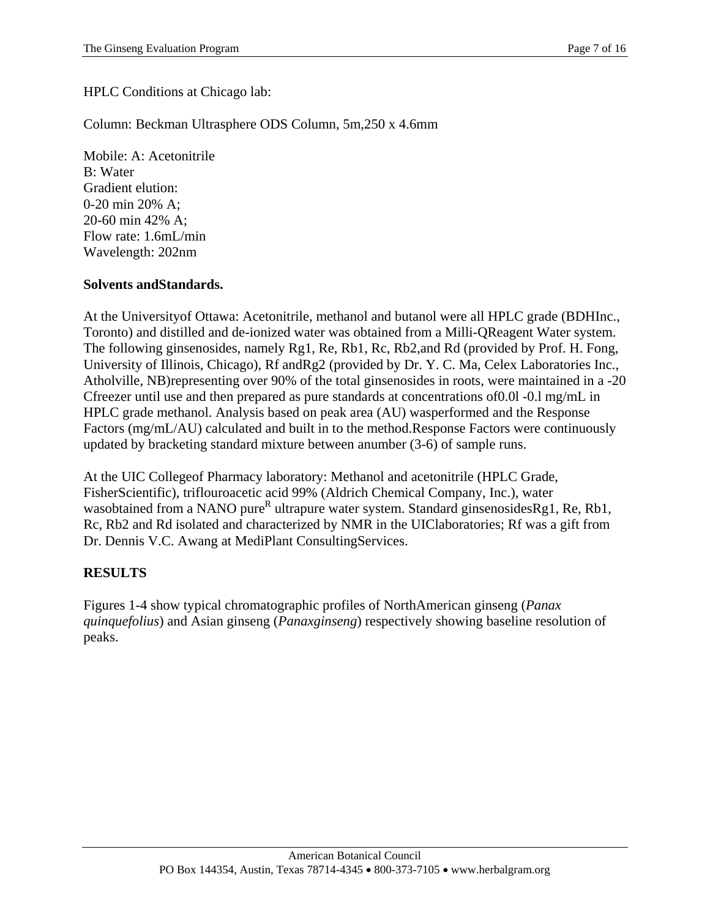#### HPLC Conditions at Chicago lab:

#### Column: Beckman Ultrasphere ODS Column, 5m,250 x 4.6mm

Mobile: A: Acetonitrile B: Water Gradient elution: 0-20 min 20% A; 20-60 min 42% A; Flow rate: 1.6mL/min Wavelength: 202nm

#### **Solvents andStandards.**

At the Universityof Ottawa: Acetonitrile, methanol and butanol were all HPLC grade (BDHInc., Toronto) and distilled and de-ionized water was obtained from a Milli-QReagent Water system. The following ginsenosides, namely Rg1, Re, Rb1, Rc, Rb2,and Rd (provided by Prof. H. Fong, University of Illinois, Chicago), Rf andRg2 (provided by Dr. Y. C. Ma, Celex Laboratories Inc., Atholville, NB)representing over 90% of the total ginsenosides in roots, were maintained in a -20 Cfreezer until use and then prepared as pure standards at concentrations of0.0l -0.l mg/mL in HPLC grade methanol. Analysis based on peak area (AU) wasperformed and the Response Factors (mg/mL/AU) calculated and built in to the method.Response Factors were continuously updated by bracketing standard mixture between anumber (3-6) of sample runs.

At the UIC Collegeof Pharmacy laboratory: Methanol and acetonitrile (HPLC Grade, FisherScientific), triflouroacetic acid 99% (Aldrich Chemical Company, Inc.), water wasobtained from a NANO pure<sup>R</sup> ultrapure water system. Standard ginsenosidesRg1, Re, Rb1, Rc, Rb2 and Rd isolated and characterized by NMR in the UIClaboratories; Rf was a gift from Dr. Dennis V.C. Awang at MediPlant ConsultingServices.

#### **RESULTS**

Figures 1-4 show typical chromatographic profiles of NorthAmerican ginseng (*Panax quinquefolius*) and Asian ginseng (*Panaxginseng*) respectively showing baseline resolution of peaks.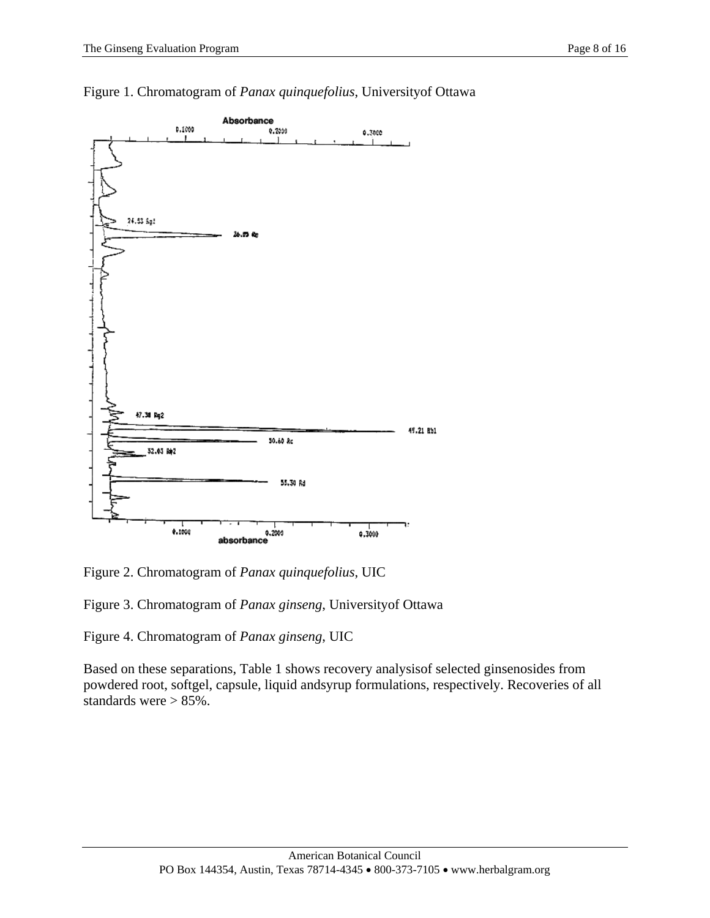

Figure 1. Chromatogram of *Panax quinquefolius*, Universityof Ottawa

Figure 2. Chromatogram of *Panax quinquefolius*, UIC

Figure 3. Chromatogram of *Panax ginseng*, Universityof Ottawa

Figure 4. Chromatogram of *Panax ginseng*, UIC

Based on these separations, Table 1 shows recovery analysisof selected ginsenosides from powdered root, softgel, capsule, liquid andsyrup formulations, respectively. Recoveries of all standards were > 85%.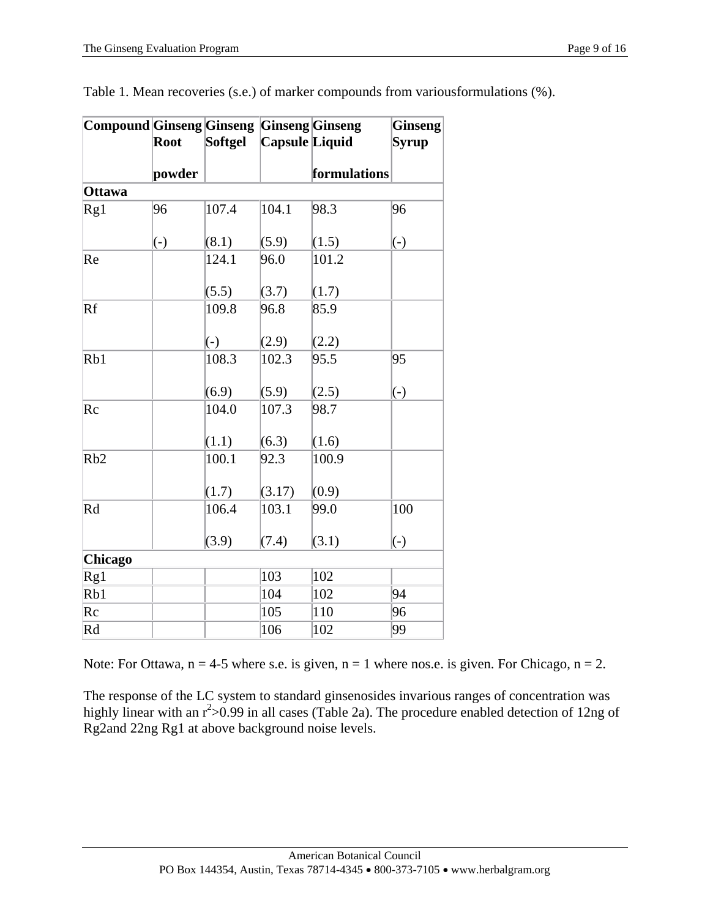| <b>Compound Ginseng Ginseng Ginseng Ginseng</b> |        |         |                |              | <b>Ginseng</b> |
|-------------------------------------------------|--------|---------|----------------|--------------|----------------|
|                                                 | Root   | Softgel | Capsule Liquid |              | Syrup          |
|                                                 | powder |         |                | formulations |                |
| <b>Ottawa</b>                                   |        |         |                |              |                |
| Rg1                                             | 96     | 107.4   | 104.1          | 98.3         | 96             |
|                                                 | $(-)$  | (8.1)   | (5.9)          | (1.5)        | $(-)$          |
| Re                                              |        | 124.1   | 96.0           | 101.2        |                |
|                                                 |        | (5.5)   | (3.7)          | (1.7)        |                |
| Rf                                              |        | 109.8   | 96.8           | 85.9         |                |
|                                                 |        | $(-)$   | (2.9)          | (2.2)        |                |
| Rb1                                             |        | 108.3   | 102.3          | 95.5         | 95             |
|                                                 |        | (6.9)   | (5.9)          | (2.5)        | $(-)$          |
| Rc                                              |        | 104.0   | 107.3          | 98.7         |                |
|                                                 |        | (1.1)   | (6.3)          | (1.6)        |                |
| Rb2                                             |        | 100.1   | 92.3           | 100.9        |                |
|                                                 |        | (1.7)   | (3.17)         | (0.9)        |                |
| Rd                                              |        | 106.4   | 103.1          | 99.0         | 100            |
|                                                 |        | (3.9)   | (7.4)          | (3.1)        | $(-)$          |
| <b>Chicago</b>                                  |        |         |                |              |                |
| Rg1                                             |        |         | 103            | 102          |                |
| Rb1                                             |        |         | 104            | 102          | 94             |
| Rc                                              |        |         | 105            | 110          | 96             |
| Rd                                              |        |         | 106            | 102          | 99             |

Table 1. Mean recoveries (s.e.) of marker compounds from variousformulations (%).

Note: For Ottawa,  $n = 4-5$  where s.e. is given,  $n = 1$  where nos.e. is given. For Chicago,  $n = 2$ .

The response of the LC system to standard ginsenosides invarious ranges of concentration was highly linear with an  $r^2 > 0.99$  in all cases (Table 2a). The procedure enabled detection of 12ng of Rg2and 22ng Rg1 at above background noise levels.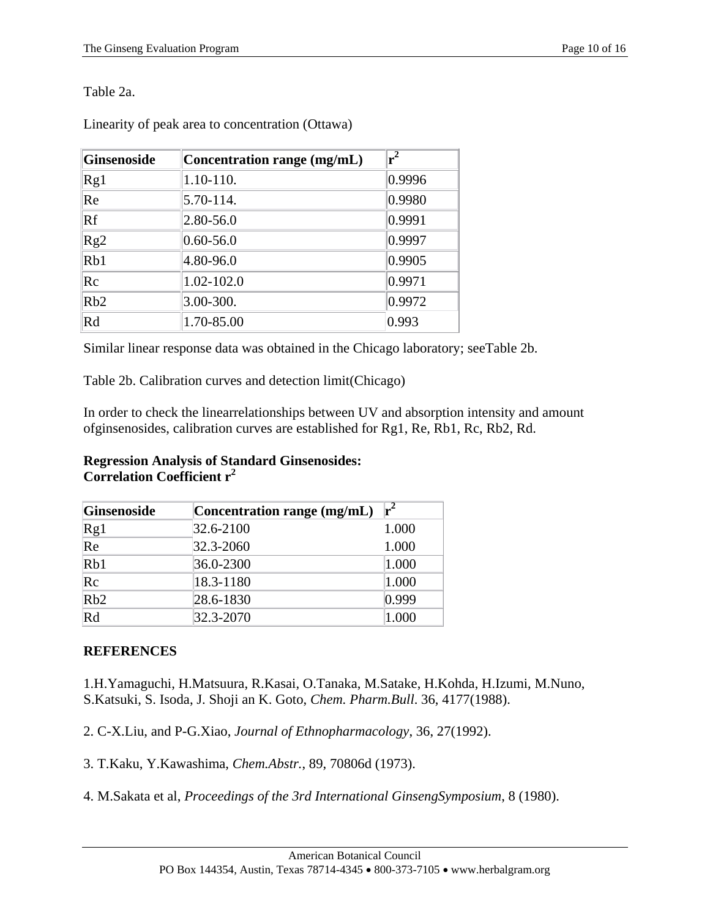Table 2a.

|  | Linearity of peak area to concentration (Ottawa) |  |
|--|--------------------------------------------------|--|
|  |                                                  |  |

| <b>Ginsenoside</b> | Concentration range (mg/mL) | $r^2$            |
|--------------------|-----------------------------|------------------|
| Rg1                | 1.10-110.                   | 0.9996           |
| Re                 | $5.70 - 114.$               | 0.9980           |
| Rf                 | $2.80 - 56.0$               | 0.9991           |
| Rg2                | $0.60 - 56.0$               | 0.9997           |
| Rb1                | $4.80 - 96.0$               | 0.9905           |
| Rc                 | 1.02-102.0                  | 0.9971           |
| Rb2                | $3.00 - 300.$               | $ 0.9972\rangle$ |
| Rd                 | 1.70-85.00                  | 0.993            |

Similar linear response data was obtained in the Chicago laboratory; seeTable 2b.

Table 2b. Calibration curves and detection limit(Chicago)

In order to check the linearrelationships between UV and absorption intensity and amount ofginsenosides, calibration curves are established for Rg1, Re, Rb1, Rc, Rb2, Rd.

#### **Regression Analysis of Standard Ginsenosides: Correlation Coefficient r<sup>2</sup>**

| Ginsenoside | Concentration range (mg/mL) | r <sup>2</sup> |
|-------------|-----------------------------|----------------|
| Rg1         | 32.6-2100                   | 1.000          |
| Re          | 32.3-2060                   | 1.000          |
| Rb1         | $36.0 - 2300$               | 1.000          |
| $\rm Re$    | 18.3-1180                   | 1.000          |
| Rb2         | 28.6-1830                   | 0.999          |
| Rd          | $32.3 - 2070$               | 1.000          |

# **REFERENCES**

1.H.Yamaguchi, H.Matsuura, R.Kasai, O.Tanaka, M.Satake, H.Kohda, H.Izumi, M.Nuno, S.Katsuki, S. Isoda, J. Shoji an K. Goto, *Chem. Pharm.Bull*. 36, 4177(1988).

2. C-X.Liu, and P-G.Xiao, *Journal of Ethnopharmacology*, 36, 27(1992).

3. T.Kaku, Y.Kawashima, *Chem.Abstr.*, 89, 70806d (1973).

4. M.Sakata et al, *Proceedings of the 3rd International GinsengSymposium*, 8 (1980).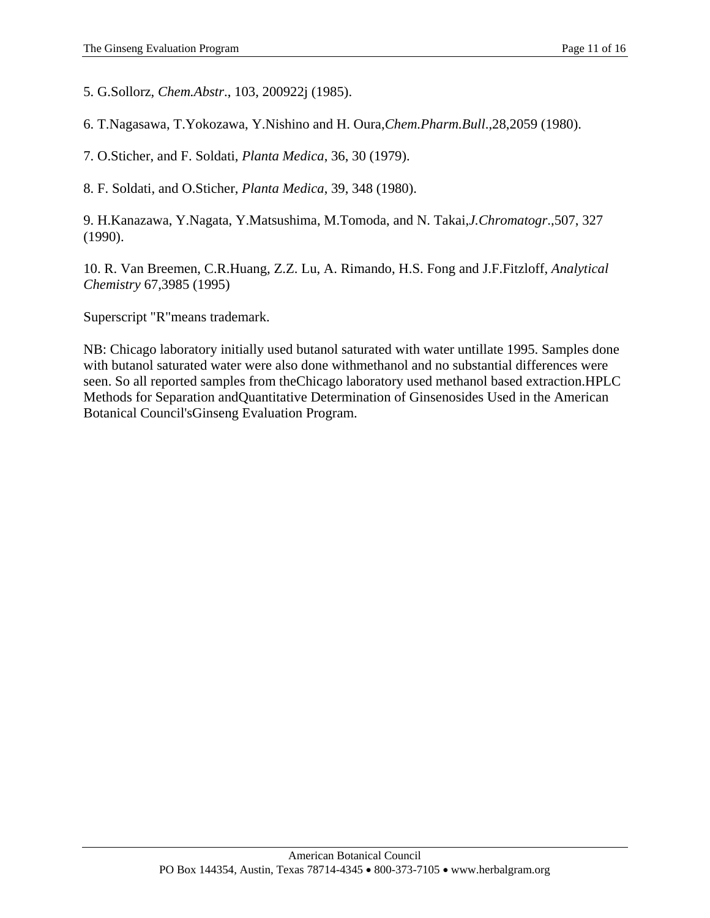5. G.Sollorz, *Chem.Abstr*., 103, 200922j (1985).

6. T.Nagasawa, T.Yokozawa, Y.Nishino and H. Oura,*Chem.Pharm.Bull*.,28,2059 (1980).

7. O.Sticher, and F. Soldati, *Planta Medica*, 36, 30 (1979).

8. F. Soldati, and O.Sticher, *Planta Medica*, 39, 348 (1980).

9. H.Kanazawa, Y.Nagata, Y.Matsushima, M.Tomoda, and N. Takai,*J.Chromatogr*.,507, 327 (1990).

10. R. Van Breemen, C.R.Huang, Z.Z. Lu, A. Rimando, H.S. Fong and J.F.Fitzloff, *Analytical Chemistry* 67,3985 (1995)

Superscript "R"means trademark.

NB: Chicago laboratory initially used butanol saturated with water untillate 1995. Samples done with butanol saturated water were also done withmethanol and no substantial differences were seen. So all reported samples from theChicago laboratory used methanol based extraction.HPLC Methods for Separation andQuantitative Determination of Ginsenosides Used in the American Botanical Council'sGinseng Evaluation Program.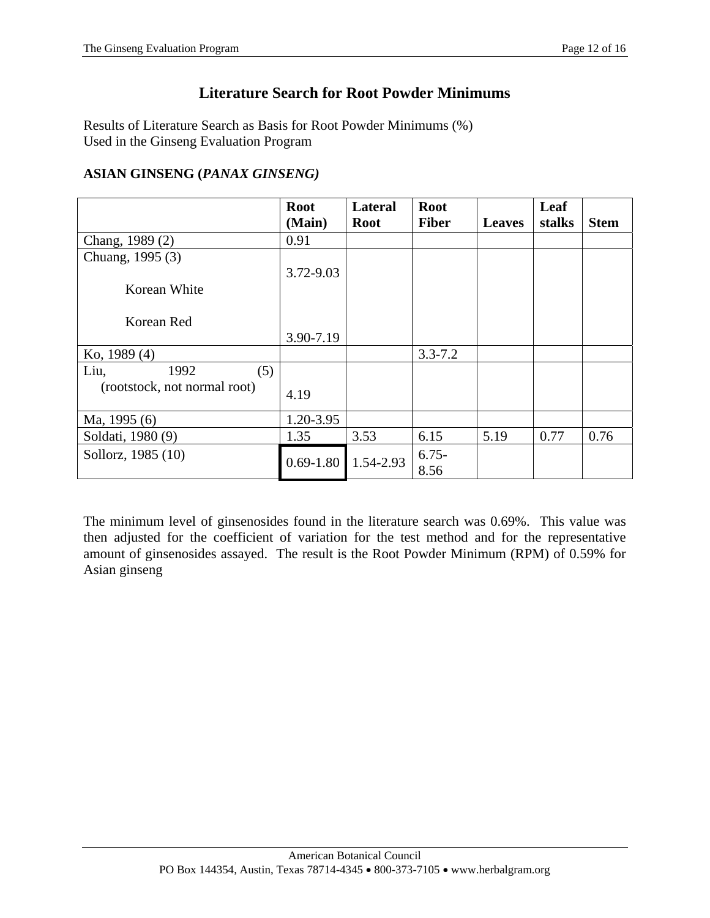# **Literature Search for Root Powder Minimums**

Results of Literature Search as Basis for Root Powder Minimums (%) Used in the Ginseng Evaluation Program

#### **ASIAN GINSENG (***PANAX GINSENG)*

|                              | <b>Root</b>   | <b>Lateral</b> | <b>Root</b>  |               | Leaf   |             |
|------------------------------|---------------|----------------|--------------|---------------|--------|-------------|
|                              | (Main)        | <b>Root</b>    | <b>Fiber</b> | <b>Leaves</b> | stalks | <b>Stem</b> |
| Chang, 1989 (2)              | 0.91          |                |              |               |        |             |
| Chuang, 1995 (3)             |               |                |              |               |        |             |
|                              | 3.72-9.03     |                |              |               |        |             |
| Korean White                 |               |                |              |               |        |             |
|                              |               |                |              |               |        |             |
| Korean Red                   |               |                |              |               |        |             |
|                              | 3.90-7.19     |                |              |               |        |             |
| Ko, 1989 (4)                 |               |                | $3.3 - 7.2$  |               |        |             |
| 1992<br>Liu,<br>(5)          |               |                |              |               |        |             |
| (rootstock, not normal root) | 4.19          |                |              |               |        |             |
|                              |               |                |              |               |        |             |
| Ma, 1995 (6)                 | 1.20-3.95     |                |              |               |        |             |
| Soldati, 1980 (9)            | 1.35          | 3.53           | 6.15         | 5.19          | 0.77   | 0.76        |
| Sollorz, 1985 (10)           |               |                | $6.75-$      |               |        |             |
|                              | $0.69 - 1.80$ | 1.54-2.93      | 8.56         |               |        |             |

The minimum level of ginsenosides found in the literature search was 0.69%. This value was then adjusted for the coefficient of variation for the test method and for the representative amount of ginsenosides assayed. The result is the Root Powder Minimum (RPM) of 0.59% for Asian ginseng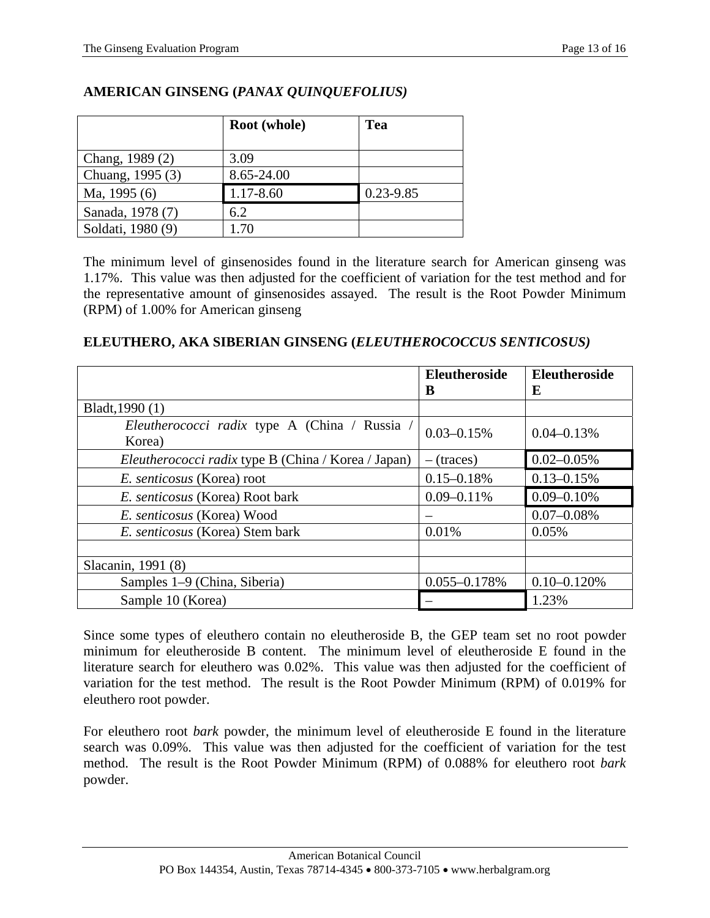|                   | Root (whole) | Tea           |
|-------------------|--------------|---------------|
|                   |              |               |
| Chang, 1989 (2)   | 3.09         |               |
| Chuang, 1995 (3)  | 8.65-24.00   |               |
| Ma, 1995 (6)      | 1.17-8.60    | $0.23 - 9.85$ |
| Sanada, 1978 (7)  | 6.2          |               |
| Soldati, 1980 (9) | 1.70         |               |

# **AMERICAN GINSENG (***PANAX QUINQUEFOLIUS)*

The minimum level of ginsenosides found in the literature search for American ginseng was 1.17%. This value was then adjusted for the coefficient of variation for the test method and for the representative amount of ginsenosides assayed. The result is the Root Powder Minimum (RPM) of 1.00% for American ginseng

#### **ELEUTHERO, AKA SIBERIAN GINSENG (***ELEUTHEROCOCCUS SENTICOSUS)*

|                                                         | <b>Eleutheroside</b><br>B | <b>Eleutheroside</b><br>E |
|---------------------------------------------------------|---------------------------|---------------------------|
| Bladt, 1990 (1)                                         |                           |                           |
| Eleutherococci radix type A (China / Russia /<br>Korea) | $0.03 - 0.15%$            | $0.04 - 0.13%$            |
| Eleutherococci radix type B (China / Korea / Japan)     | $-$ (traces)              | $0.02 - 0.05\%$           |
| <i>E. senticosus</i> (Korea) root                       | $0.15 - 0.18%$            | $0.13 - 0.15%$            |
| E. senticosus (Korea) Root bark                         | $0.09 - 0.11\%$           | $0.09 - 0.10\%$           |
| E. senticosus (Korea) Wood                              |                           | $0.07 - 0.08\%$           |
| E. senticosus (Korea) Stem bark                         | 0.01%                     | 0.05%                     |
|                                                         |                           |                           |
| Slacanin, 1991 (8)                                      |                           |                           |
| Samples 1–9 (China, Siberia)                            | $0.055 - 0.178%$          | $0.10 - 0.120%$           |
| Sample 10 (Korea)                                       |                           | 1.23%                     |

Since some types of eleuthero contain no eleutheroside B, the GEP team set no root powder minimum for eleutheroside B content. The minimum level of eleutheroside E found in the literature search for eleuthero was 0.02%. This value was then adjusted for the coefficient of variation for the test method. The result is the Root Powder Minimum (RPM) of 0.019% for eleuthero root powder.

For eleuthero root *bark* powder, the minimum level of eleutheroside E found in the literature search was 0.09%. This value was then adjusted for the coefficient of variation for the test method. The result is the Root Powder Minimum (RPM) of 0.088% for eleuthero root *bark* powder.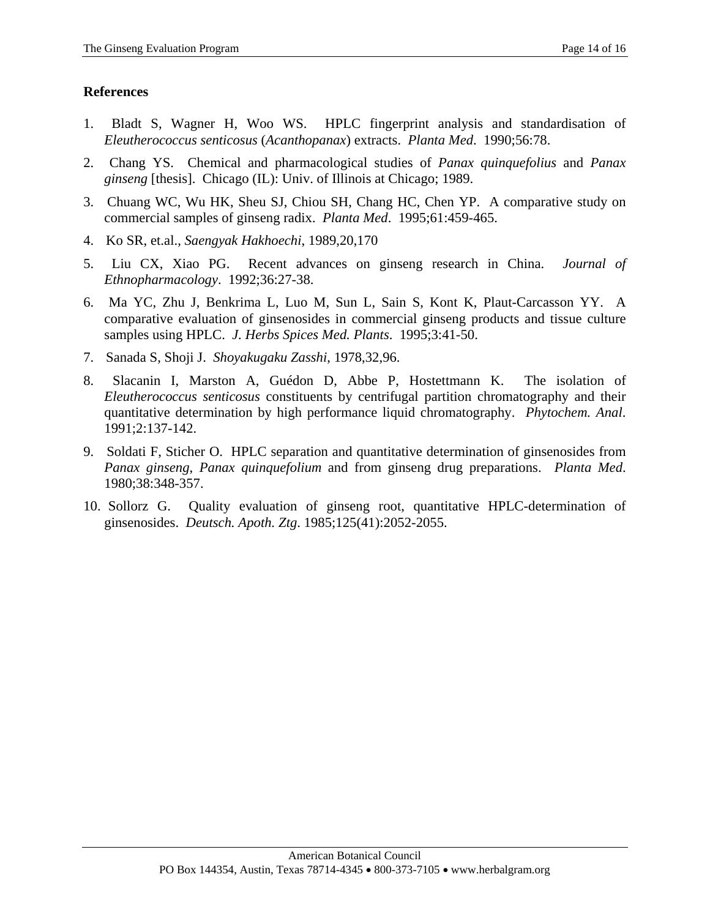#### **References**

- 1. Bladt S, Wagner H, Woo WS. HPLC fingerprint analysis and standardisation of *Eleutherococcus senticosus* (*Acanthopanax*) extracts. *Planta Med*. 1990;56:78.
- 2. Chang YS. Chemical and pharmacological studies of *Panax quinquefolius* and *Panax ginseng* [thesis]. Chicago (IL): Univ. of Illinois at Chicago; 1989.
- 3. Chuang WC, Wu HK, Sheu SJ, Chiou SH, Chang HC, Chen YP. A comparative study on commercial samples of ginseng radix. *Planta Med*. 1995;61:459-465.
- 4. Ko SR, et.al., *Saengyak Hakhoechi*, 1989,20,170
- 5. Liu CX, Xiao PG. Recent advances on ginseng research in China. *Journal of Ethnopharmacology*. 1992;36:27-38.
- 6. Ma YC, Zhu J, Benkrima L, Luo M, Sun L, Sain S, Kont K, Plaut-Carcasson YY. A comparative evaluation of ginsenosides in commercial ginseng products and tissue culture samples using HPLC. *J. Herbs Spices Med. Plants*. 1995;3:41-50.
- 7. Sanada S, Shoji J. *Shoyakugaku Zasshi*, 1978,32,96.
- 8. Slacanin I, Marston A, Guédon D, Abbe P, Hostettmann K. The isolation of *Eleutherococcus senticosus* constituents by centrifugal partition chromatography and their quantitative determination by high performance liquid chromatography. *Phytochem. Anal*. 1991;2:137-142.
- 9. Soldati F, Sticher O. HPLC separation and quantitative determination of ginsenosides from *Panax ginseng*, *Panax quinquefolium* and from ginseng drug preparations. *Planta Med*. 1980;38:348-357.
- 10. Sollorz G. Quality evaluation of ginseng root, quantitative HPLC-determination of ginsenosides. *Deutsch. Apoth. Ztg*. 1985;125(41):2052-2055.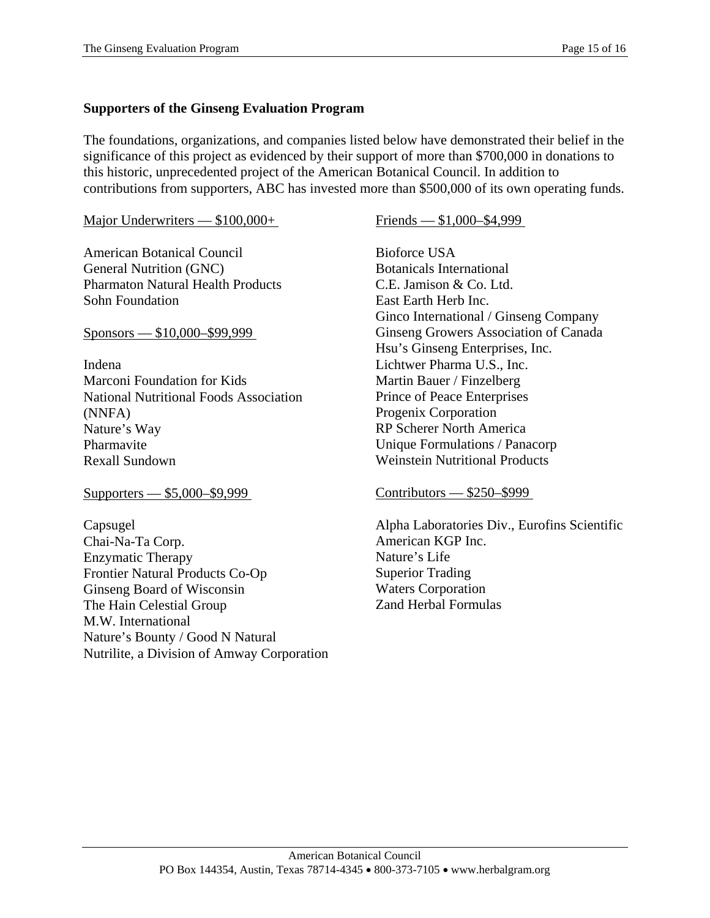# **Supporters of the Ginseng Evaluation Program**

The foundations, organizations, and companies listed below have demonstrated their belief in the significance of this project as evidenced by their support of more than \$700,000 in donations to this historic, unprecedented project of the American Botanical Council. In addition to contributions from supporters, ABC has invested more than \$500,000 of its own operating funds.

#### Major Underwriters — \$100,000+

American Botanical Council General Nutrition (GNC) Pharmaton Natural Health Products Sohn Foundation

Sponsors — \$10,000–\$99,999

Indena Marconi Foundation for Kids National Nutritional Foods Association (NNFA) Nature's Way Pharmavite Rexall Sundown

Supporters — \$5,000–\$9,999

Capsugel Chai-Na-Ta Corp. Enzymatic Therapy Frontier Natural Products Co-Op Ginseng Board of Wisconsin The Hain Celestial Group M.W. International Nature's Bounty / Good N Natural Nutrilite, a Division of Amway Corporation Friends — \$1,000–\$4,999

Bioforce USA Botanicals International C.E. Jamison & Co. Ltd. East Earth Herb Inc. Ginco International / Ginseng Company Ginseng Growers Association of Canada Hsu's Ginseng Enterprises, Inc. Lichtwer Pharma U.S., Inc. Martin Bauer / Finzelberg Prince of Peace Enterprises Progenix Corporation RP Scherer North America Unique Formulations / Panacorp Weinstein Nutritional Products

#### Contributors — \$250–\$999

Alpha Laboratories Div., Eurofins Scientific American KGP Inc. Nature's Life Superior Trading Waters Corporation Zand Herbal Formulas